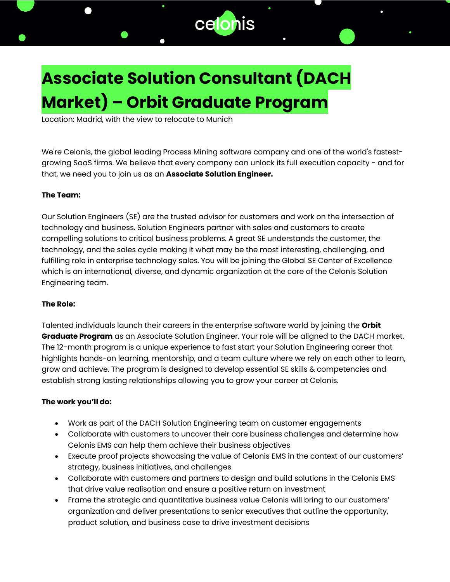

# **Associate Solution Consultant (DACH Market) – Orbit Graduate Program**

Location: Madrid, with the view to relocate to Munich

We're Celonis, the global leading Process Mining software company and one of the world's fastestgrowing SaaS firms. We believe that every company can unlock its full execution capacity - and for that, we need you to join us as an **Associate Solution Engineer.**

### **The Team:**

Our Solution Engineers (SE) are the trusted advisor for customers and work on the intersection of technology and business. Solution Engineers partner with sales and customers to create compelling solutions to critical business problems. A great SE understands the customer, the technology, and the sales cycle making it what may be the most interesting, challenging, and fulfilling role in enterprise technology sales. You will be joining the Global SE Center of Excellence which is an international, diverse, and dynamic organization at the core of the Celonis Solution Engineering team.

### **The Role:**

Talented individuals launch their careers in the enterprise software world by joining the **Orbit Graduate Program** as an Associate Solution Engineer. Your role will be aligned to the DACH market. The 12-month program is a unique experience to fast start your Solution Engineering career that highlights hands-on learning, mentorship, and a team culture where we rely on each other to learn, grow and achieve. The program is designed to develop essential SE skills & competencies and establish strong lasting relationships allowing you to grow your career at Celonis.

### **The work you'll do:**

- Work as part of the DACH Solution Engineering team on customer engagements
- Collaborate with customers to uncover their core business challenges and determine how Celonis EMS can help them achieve their business objectives
- Execute proof projects showcasing the value of Celonis EMS in the context of our customers' strategy, business initiatives, and challenges
- Collaborate with customers and partners to design and build solutions in the Celonis EMS that drive value realisation and ensure a positive return on investment
- Frame the strategic and quantitative business value Celonis will bring to our customers' organization and deliver presentations to senior executives that outline the opportunity, product solution, and business case to drive investment decisions